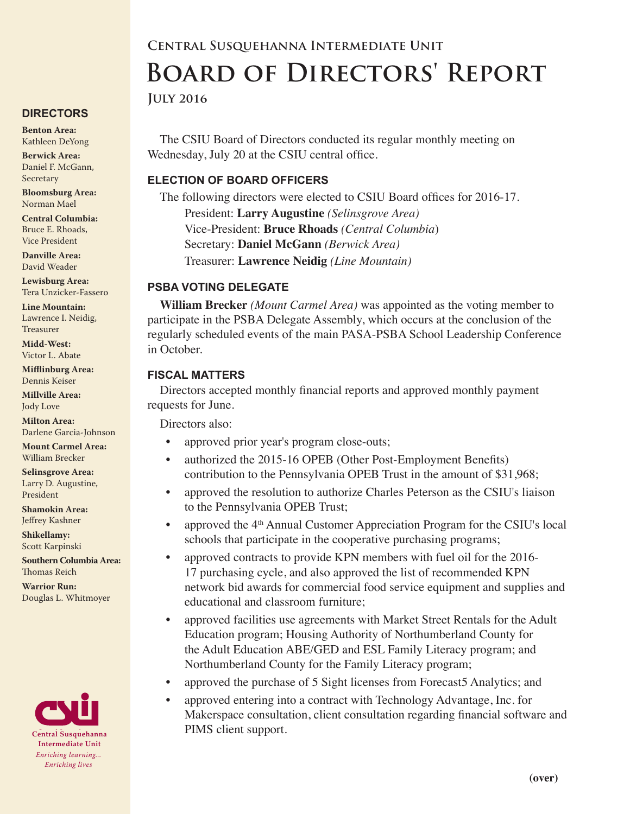#### **DIRECTORS**

**Benton Area:** Kathleen DeYong

**Berwick Area:** Daniel F. McGann, Secretary

**Bloomsburg Area:**  Norman Mael

**Central Columbia:** Bruce E. Rhoads, Vice President

**Danville Area:** David Weader

**Lewisburg Area:** Tera Unzicker-Fassero

**Line Mountain:** Lawrence I. Neidig, Treasurer

**Midd-West:**  Victor L. Abate

**Mifflinburg Area:** Dennis Keiser

**Millville Area:** Jody Love

**Milton Area:** Darlene Garcia-Johnson

**Mount Carmel Area:**  William Brecker

**Selinsgrove Area:**  Larry D. Augustine, President

**Shamokin Area:** Jeffrey Kashner

**Shikellamy:**  Scott Karpinski

**Southern Columbia Area:** Thomas Reich

**Warrior Run:** Douglas L. Whitmoyer



# **Central Susquehanna Intermediate Unit Board of Directors' Report**

**July 2016**

The CSIU Board of Directors conducted its regular monthly meeting on Wednesday, July 20 at the CSIU central office.

# **ELECTION OF BOARD OFFICERS**

The following directors were elected to CSIU Board offices for 2016-17. President: **Larry Augustine** *(Selinsgrove Area)* Vice-President: **Bruce Rhoads** *(Central Columbia*) Secretary: **Daniel McGann** *(Berwick Area)* Treasurer: **Lawrence Neidig** *(Line Mountain)*

# **PSBA VOTING DELEGATE**

**William Brecker** *(Mount Carmel Area)* was appointed as the voting member to participate in the PSBA Delegate Assembly, which occurs at the conclusion of the regularly scheduled events of the main PASA-PSBA School Leadership Conference in October.

#### **FISCAL MATTERS**

Directors accepted monthly financial reports and approved monthly payment requests for June.

Directors also:

- approved prior year's program close-outs;
- authorized the 2015-16 OPEB (Other Post-Employment Benefits) contribution to the Pennsylvania OPEB Trust in the amount of \$31,968;
- approved the resolution to authorize Charles Peterson as the CSIU's liaison to the Pennsylvania OPEB Trust;
- approved the  $4<sup>th</sup>$  Annual Customer Appreciation Program for the CSIU's local schools that participate in the cooperative purchasing programs;
- approved contracts to provide KPN members with fuel oil for the 2016- 17 purchasing cycle, and also approved the list of recommended KPN network bid awards for commercial food service equipment and supplies and educational and classroom furniture;
- approved facilities use agreements with Market Street Rentals for the Adult Education program; Housing Authority of Northumberland County for the Adult Education ABE/GED and ESL Family Literacy program; and Northumberland County for the Family Literacy program;
- approved the purchase of 5 Sight licenses from Forecast5 Analytics; and
- approved entering into a contract with Technology Advantage, Inc. for Makerspace consultation, client consultation regarding financial software and PIMS client support.